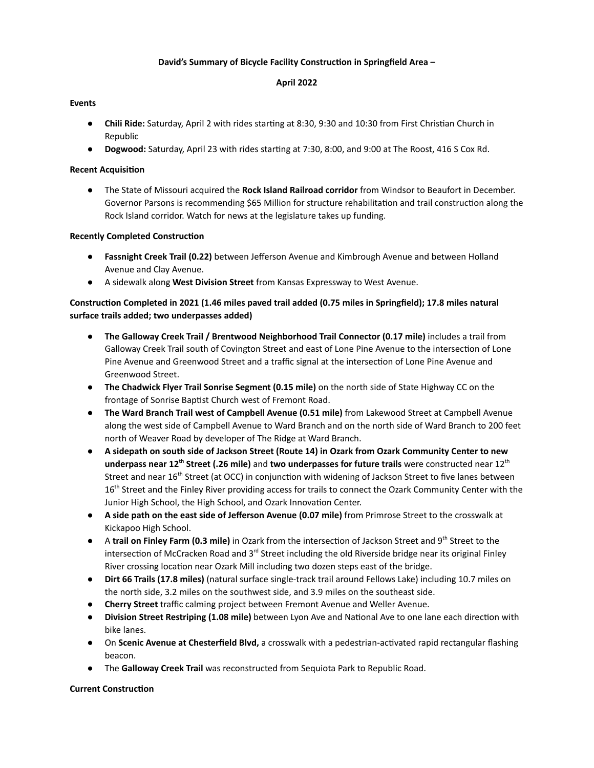## **David's Summary of Bicycle Facility Construcon in Springfield Area –**

### **April 2022**

## **Events**

- **• Chili Ride:** Saturday, April 2 with rides starting at 8:30, 9:30 and 10:30 from First Christian Church in Republic
- **Dogwood:** Saturday, April 23 with rides starting at 7:30, 8:00, and 9:00 at The Roost, 416 S Cox Rd.

## **Recent Acquision**

● The State of Missouri acquired the **Rock Island Railroad corridor** from Windsor to Beaufort in December. Governor Parsons is recommending \$65 Million for structure rehabilitation and trail construction along the Rock Island corridor. Watch for news at the legislature takes up funding.

# **Recently Completed Construction**

- **Fassnight Creek Trail (0.22)** between Jefferson Avenue and Kimbrough Avenue and between Holland Avenue and Clay Avenue.
- A sidewalk along **West Division Street** from Kansas Expressway to West Avenue.

# **Construcon Completed in 2021 (1.46 miles paved trail added (0.75 miles in Springfield); 17.8 miles natural surface trails added; two underpasses added)**

- **The Galloway Creek Trail / Brentwood Neighborhood Trail Connector (0.17 mile)** includes a trail from Galloway Creek Trail south of Covington Street and east of Lone Pine Avenue to the intersection of Lone Pine Avenue and Greenwood Street and a traffic signal at the intersection of Lone Pine Avenue and Greenwood Street.
- **The Chadwick Flyer Trail Sonrise Segment (0.15 mile)** on the north side of State Highway CC on the frontage of Sonrise Baptist Church west of Fremont Road.
- **The Ward Branch Trail west of Campbell Avenue (0.51 mile)** from Lakewood Street at Campbell Avenue along the west side of Campbell Avenue to Ward Branch and on the north side of Ward Branch to 200 feet north of Weaver Road by developer of The Ridge at Ward Branch.
- A sidepath on south side of Jackson Street (Route 14) in Ozark from Ozark Community Center to new **underpass near 12<sup>th</sup> Street (.26 mile)** and **two underpasses for future trails** were constructed near 12<sup>th</sup> Street and near 16<sup>th</sup> Street (at OCC) in conjunction with widening of Jackson Street to five lanes between 16<sup>th</sup> Street and the Finley River providing access for trails to connect the Ozark Community Center with the Junior High School, the High School, and Ozark Innovation Center.
- **A side path on the east side of Jefferson Avenue (0.07 mile)** from Primrose Street to the crosswalk at Kickapoo High School.
- A trail on Finley Farm (0.3 mile) in Ozark from the intersection of Jackson Street and 9<sup>th</sup> Street to the intersection of McCracken Road and 3<sup>rd</sup> Street including the old Riverside bridge near its original Finley River crossing location near Ozark Mill including two dozen steps east of the bridge.
- **Dirt 66 Trails (17.8 miles)** (natural surface single-track trail around Fellows Lake) including 10.7 miles on the north side, 3.2 miles on the southwest side, and 3.9 miles on the southeast side.
- **Cherry Street** traffic calming project between Fremont Avenue and Weller Avenue.
- **Division Street Restriping (1.08 mile)** between Lyon Ave and National Ave to one lane each direction with bike lanes.
- **On Scenic Avenue at Chesterfield Blvd,** a crosswalk with a pedestrian-activated rapid rectangular flashing beacon.
- The **Galloway Creek Trail** was reconstructed from Sequiota Park to Republic Road.

### **Current Construction**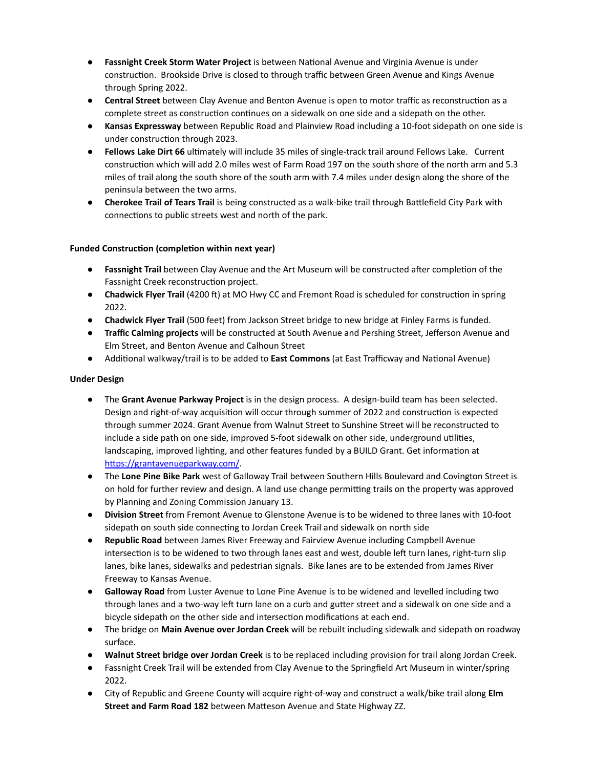- **Fassnight Creek Storm Water Project** is between National Avenue and Virginia Avenue is under construction. Brookside Drive is closed to through traffic between Green Avenue and Kings Avenue through Spring 2022.
- **Central Street** between Clay Avenue and Benton Avenue is open to motor traffic as reconstruction as a complete street as construction continues on a sidewalk on one side and a sidepath on the other.
- **Kansas Expressway** between Republic Road and Plainview Road including a 10-foot sidepath on one side is under construction through 2023.
- **Fellows Lake Dirt 66** ultimately will include 35 miles of single-track trail around Fellows Lake. Current construction which will add 2.0 miles west of Farm Road 197 on the south shore of the north arm and 5.3 miles of trail along the south shore of the south arm with 7.4 miles under design along the shore of the peninsula between the two arms.
- **Cherokee Trail of Tears Trail** is being constructed as a walk-bike trail through Battlefield City Park with connections to public streets west and north of the park.

# **Funded Construction (completion within next year)**

- **Fassnight Trail** between Clay Avenue and the Art Museum will be constructed after completion of the Fassnight Creek reconstruction project.
- **Chadwick Flyer Trail** (4200 ft) at MO Hwy CC and Fremont Road is scheduled for construction in spring 2022.
- **Chadwick Flyer Trail** (500 feet) from Jackson Street bridge to new bridge at Finley Farms is funded.
- **Traffic Calming projects** will be constructed at South Avenue and Pershing Street, Jefferson Avenue and Elm Street, and Benton Avenue and Calhoun Street
- Additional walkway/trail is to be added to **East Commons** (at East Trafficway and National Avenue)

# **Under Design**

- The **Grant Avenue Parkway Project** is in the design process. A design-build team has been selected. Design and right-of-way acquisition will occur through summer of 2022 and construction is expected through summer 2024. Grant Avenue from Walnut Street to Sunshine Street will be reconstructed to include a side path on one side, improved 5-foot sidewalk on other side, underground utilities, landscaping, improved lighting, and other features funded by a BUILD Grant. Get information at https://grantavenueparkway.com/.
- The **Lone Pine Bike Park** west of Galloway Trail between Southern Hills Boulevard and Covington Street is on hold for further review and design. A land use change permitting trails on the property was approved by Planning and Zoning Commission January 13.
- **Division Street** from Fremont Avenue to Glenstone Avenue is to be widened to three lanes with 10-foot sidepath on south side connecting to Jordan Creek Trail and sidewalk on north side
- **Republic Road** between James River Freeway and Fairview Avenue including Campbell Avenue intersection is to be widened to two through lanes east and west, double left turn lanes, right-turn slip lanes, bike lanes, sidewalks and pedestrian signals. Bike lanes are to be extended from James River Freeway to Kansas Avenue.
- **Galloway Road** from Luster Avenue to Lone Pine Avenue is to be widened and levelled including two through lanes and a two-way left turn lane on a curb and gutter street and a sidewalk on one side and a bicycle sidepath on the other side and intersection modifications at each end.
- The bridge on **Main Avenue over Jordan Creek** will be rebuilt including sidewalk and sidepath on roadway surface.
- **Walnut Street bridge over Jordan Creek** is to be replaced including provision for trail along Jordan Creek.
- Fassnight Creek Trail will be extended from Clay Avenue to the Springfield Art Museum in winter/spring 2022.
- City of Republic and Greene County will acquire right-of-way and construct a walk/bike trail along **Elm Street and Farm Road 182** between Matteson Avenue and State Highway ZZ.